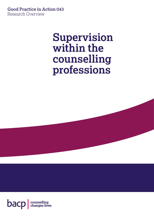**Good Practice in Action 043** Research Overview

# **Supervision within the counselling professions**

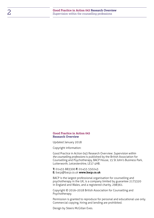#### **Good Practice in Action 043 Research Overview**

Updated January 2018

Copyright information:

Good Practice in Action 043 Research Overview: *Supervision within the counselling professions* is published by the British Association for Counselling and Psychotherapy, BACP House, 15 St John's Business Park, Lutterworth, Leicestershire, LE17 4HB.

**T:** 01455 883300 **F:** 01455 550243 **E:** [bacp@bacp.co.uk](mailto:bacp%40bacp.co.uk?subject=) **[www.bacp.co.uk](http://www.bacp.co.uk)**

BACP is the largest professional organisation for counselling and psychotherapy in the UK, is a company limited by guarantee 2175320 in England and Wales, and a registered charity, 298361.

Copyright © 2016–2018 British Association for Counselling and Psychotherapy.

Permission is granted to reproduce for personal and educational use only. Commercial copying, hiring and lending are prohibited.

Design by Steers McGillan Eves.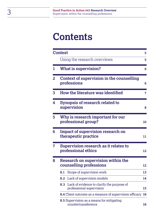# **Contents**

|              | <b>Context</b>                                                          |                                                                            |    |  |
|--------------|-------------------------------------------------------------------------|----------------------------------------------------------------------------|----|--|
|              |                                                                         | Using the research overviews                                               | 5  |  |
| 1            |                                                                         | <b>What is supervision?</b>                                                | 6  |  |
| $\mathbf{2}$ |                                                                         | Context of supervision in the counselling<br>professions                   | 6  |  |
| 3            |                                                                         | How the literature was identified                                          | 7  |  |
| 4            |                                                                         | Synopsis of research related to<br>supervision                             | 8  |  |
| 5            |                                                                         | Why is research important for our<br>professional group?                   | 10 |  |
| 6            | Impact of supervision research on<br>therapeutic practice<br>11         |                                                                            |    |  |
| 7            | Supervision research as it relates to<br>professional ethics            |                                                                            | 12 |  |
| 8            | Research on supervision within the<br>counselling professions           |                                                                            |    |  |
|              | 8.1                                                                     | Scope of supervision work                                                  | 13 |  |
|              |                                                                         | 8.2 Lack of supervision models                                             | 14 |  |
|              |                                                                         | 8.3 Lack of evidence to clarify the purpose of<br>professional supervision | 15 |  |
|              | <b>8.4</b> Client outcome as a measure of supervision efficacy          |                                                                            |    |  |
|              | <b>8.5</b> Supervision as a means for mitigating<br>countertransference |                                                                            |    |  |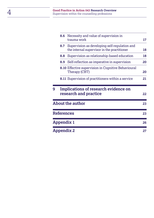|   | 8.6                                                           | Necessity and value of supervision in<br>trauma work                                         |    |
|---|---------------------------------------------------------------|----------------------------------------------------------------------------------------------|----|
|   | 8.7                                                           | Supervision as developing self-regulation and<br>the internal supervisor in the practitioner | 18 |
|   | 8.8                                                           | Supervision as relationship-based education                                                  | 18 |
|   | 8.9                                                           | Self-reflection as imperative in supervision                                                 | 20 |
|   |                                                               | <b>8.10 Effective supervision in Cognitive Behavioural</b><br>Therapy (CBT)                  | 20 |
|   |                                                               | <b>8.11</b> Supervision of practitioners within a service                                    | 21 |
| 9 | Implications of research evidence on<br>research and practice |                                                                                              |    |
|   |                                                               | <b>About the author</b>                                                                      | 23 |
|   | <b>References</b>                                             |                                                                                              | 23 |
|   | Appendix 1                                                    |                                                                                              | 26 |
|   |                                                               |                                                                                              |    |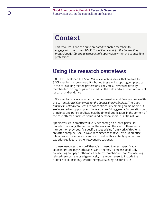## <span id="page-4-0"></span>**Context**

This resource is one of a suite prepared to enable members to engage with the current BACP *Ethical Framework for the Counselling Professions* (BACP, 2018) in respect of supervision within the counselling professions.

### <span id="page-4-1"></span>**Using the research overviews**

BACP has developed the *Good Practice in Action* series, that are free for BACP members to download. It is hoped these will support good practice in the counselling related professions. They are all reviewed both by member-led focus groups and experts in the field and are based on current research and evidence.

BACP members have a contractual commitment to work in accordance with the current *Ethical Framework for the Counselling Professions*. The *Good Practice in Action* resources are not contractually binding on members but are intended to support practitioners by providing general information on principles and policy applicable at the time of publication, in the context of the core ethical principles, values and personal moral qualities of BACP.

Specific issues in practice will vary depending on clients, particular models of working, the context of the work and the kind of therapeutic intervention provided. As specific issues arising from work with clients are often complex, BACP always recommends that you discuss practice dilemmas with a supervisor and/or consult with a suitably qualified and experienced legal or other relevant practitioner.

In these resources, the word 'therapist' is used to mean specifically counsellors and psychotherapists and 'therapy' to mean specifically counselling and psychotherapy. The terms 'practitioner' and 'counselling related services' are used generically in a wider sense, to include the practice of counselling, psychotherapy, coaching, pastoral care.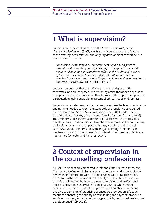## <span id="page-5-0"></span>**1 What is supervision?**

Supervision in the context of the BACP *Ethical Framework for the Counselling Professions* (BACP, 2018) is a universally accepted feature of the training, accreditation, and ongoing development of therapeutic practitioners in the UK:

*Supervision is essential to how practitioners sustain good practice throughout their working life. Supervision provides practitioners with regular and ongoing opportunities to reflect in depth about all aspects of their practice in order to work as effectively, safely and ethically as possible. Supervision also sustains the personal resourcefulness required to undertake the work.* (Good Practice, Point 60)

Supervision ensures that practitioners have a solid grasp of the theoretical and philosophical underpinning of the therapeutic approach they practice. It also ensures that they learn to reflect upon their practice, particularly to gain sensitivity to potential ethical issues or dilemmas.

Supervision can also ensure that trainees recognise the level of education and training needed to reach the standards of proficiency as required by The Health and Social Work Profession Order 2001 under Section 60 of the Health Act 1999 (Health and Care Professions Council, 2016). Thus, supervision is essential for ethical practice and the professional development of those who want to embark on a career in the counselling professions, which includes psychotherapy, coaching and pastoral care (BACP, 2018). Supervision, with its 'gatekeeping' function, is one mechanism by which the counselling professions ensure that clients are not harmed (Wheeler and Richards, 2007).

## <span id="page-5-1"></span>**2 Context of supervision in the counselling professions**

All BACP members are committed within the *Ethical Framework for the Counselling Professions* to have regular supervision and to periodically review their therapeutic work in practice. (see Good Practice, points 60-73 for further information). In the body of research and literature there is a delineation between trainee supervision and professional (post qualification) supervision (Milne et al., 2002); while trainee supervision prepares students for professional practice, regular and ongoing supervision of practising counsellors provides an effective means of enhancing the quality of counselling and psychotherapeutic services provided, as well as updating practice by continued professional development (BACP, 2018).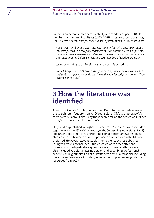Supervision demonstrates accountability and candour as part of BACP members' commitment to clients (BACP, 2018). In terms of good practice, BACP's *Ethical Framework for the Counselling Professions* (2016) states that:

*Any professional or personal interests that conflict with putting a client's interests first will be carefully considered in consultation with a supervisor, an independent experienced colleague or, when appropriate, discussed with the client affected before services are offered*. (Good Practice, point 8)

In terms of working to professional standards, it is stated that:

*We will keep skills and knowledge up to date by reviewing our knowledge and skills in supervision or discussion with experienced practitioners.* (Good Practice, Point 14d)

### <span id="page-6-0"></span>**3 How the literature was identified**

A search of Google Scholar, PubMed and PsycInfo was carried out using the search terms 'supervision' AND 'counselling' OR 'psychotherapy.' As there were numerous hits using these search terms, the search was refined using inclusion and exclusion criteria.

Only studies published in English between 2002 and 2015 were included, together with the *Ethical Framework for the Counselling Professions* (2018) and BACP Good Practice resources and competence frameworks. Those studies with particular focus on supervision practice within the UK were preferred. However, relevant studies from other countries published in English were also included. Studies which were descriptive and those which used qualitative, quantitative and mixed methods were also included. Articles analysing data on and describing professional supervision (e.g. supervision of practitioners post qualification), including literature reviews, were included, as were the supplementary guidance resources from BACP.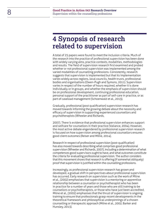## <span id="page-7-0"></span>**4 Synopsis of research related to supervision**

A total of 25 papers were found to meet the inclusion criteria. Much of the research into the practice of professional supervision has been done with widely varying aims, practice contexts, modalities, methodologies and results. The field of supervision research first examined and probed whether or not professional supervision was implemented among the varied modalities of counselling professions. Consistently, research suggests that supervision is implemented but that its implementation varies widely across regions, local councils, health trusts, professional bodies and organisations (Owen-Pugh and Symons, 2011). Supervision varies in respect of the number of hours required, whether it is done individually or in groups, and whether the emphasis of supervision should be on professional development, continuing professional education, personal support of the practitioner as part of self-care in practice, or as part of caseload management (Schoenwald et al., 2013).

Gradually, professional (post qualification) supervision research has moved towards informing the growing debate about the necessity and efficacy of supervision in supporting experienced counsellors and psychotherapists (Wheeler and Richards,

2007). There is evidence that professional supervision enhances support and selfcare for counsellors in their practice (Vallance, 2004). However, the most active debate engendered by professional supervision research is focused on how supervision among professional counsellors ensures good client outcomes (Reiser and Milne, 2014).

Research in respect of professional supervision (post-qualification) has also moved towards describing what comprises good professional supervision (Wheeler and Richards, 2007), including a determination of what competences good supervisors ought to have, and what outcomes constitute the criteria for evaluating professional supervision. The author considers that this movement shows that research is offering (if somewhat obliquely) proof that supervision is justified within the counselling professions.

Increasingly, as professional supervision research has grown and developed, a gradual shift in perspectives about professional supervision has occurred. Early research on supervision such as the work of Milne et al., (2002) emphasises that supervision is a mentoring or apprentice relationship between a counsellor or psychotherapist who has been in practice for a number of years and those who are still training to be counsellors or psychotherapists, or those who have just been accredited. Milne et al., (2002) emphasises that the thrust of supervision is ongoing training to ensure that professionals grasp recent developments in the theoretical framework and philosophical underpinnings of a chosen counselling or therapeutic approach (Milne et al., 2002; Barker and Hunsley, 2013).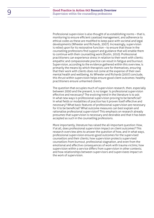Professional supervision is also thought of as establishing norms – that is, monitoring to ensure efficient caseload management, and adherence to ethical codes as these are modified to keep pace with societal and legal developments (Wheeler and Richards, 2007). Increasingly, supervision is relied upon for its restorative function – to ensure that those in the counselling professions find support and guidance that will enable them to continue with their counselling work (Rustin, 2010). Professional practitioners can experience stress in relation to their work with clients: empathic and compassionate practice can result in fatigue and burnout. Supervision, according to the evidence gathered within this overview, is primarily the means by which therapists care for themselves, ensuring that their work with clients does not come at the expense of their own mental health and wellbeing. As Wheeler and Richards (2007) conclude, this thrust within supervision helps ensure good client outcomes: healthy practitioners ensure unharmed clients.

The question that occupies much of supervision research, then, especially between 2000 and the present, is no longer: Is professional supervision effective and necessary? The evolving trend in the literature is to ask: In what new ways is professional supervision proving to be beneficial? In what fields or modalities of practice has it proven itself effective and necessary? What basic features of professional supervision are necessary for it to be beneficial? What outcome measures can best explain and rationalise professional supervision? This emphasis on research already presumes that supervision is necessary and desirable and that it has been accepted as such in the counselling professions.

More importantly, literature has raised the all-important question: How, if at all, does professional supervision impact on client outcomes? This research overview aims to answer the question of how, and in what ways, professional supervision ensures good outcomes for the supervised counsellors and their clients; how supervision protects supervised counsellors from burnout, professional stagnation, and even from the emotional and affective consequences of work with trauma victims; how supervision within a service differs from supervision in other contexts; and how relationships between supervisors and supervisees impact on the work of supervision.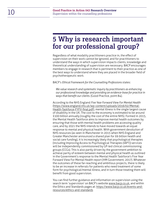## <span id="page-9-0"></span>**5 Why is research important for our professional group?**

Regardless of what modality practitioners practice in, the effect of supervision on their work cannot be ignored, and for practitioners to understand the ways in which supervision impacts clients, knowledge and theoretical understanding of supervision are necessary. BACP encourages members to engage in research that is pertinent to their practice as one of the best ways to understand where they are placed in the broader field of psychotherapeutic work.

BACP's *Ethical Framework for the Counselling Professions* states:

*We value research and systematic inquiry by practitioners as enhancing our professional knowledge and providing an evidence-base for practice in ways that benefit our clients.* (Good Practice, point 84).

According to the NHS England *Five Year Forward View For Mental Health* [\(https://www.england.nhs.uk/wp-content/uploads/2016/02/Mental-](https://www.england.nhs.uk/wp-content/uploads/2016/02/Mental-Health-Taskforce-FYFV-final.pdf)[Health-Taskforce-FYFV-final.pdf](https://www.england.nhs.uk/wp-content/uploads/2016/02/Mental-Health-Taskforce-FYFV-final.pdf)), mental illness is the single largest cause of disability in the UK. The cost to the economy is estimated to be around £100 billion annually (roughly the cost of the entire NHS). Formed in 2015, the Mental Health Taskforce aims to improve mental health outcomes by ensuring that those with mental health problems are accessing quality care, and by 2021 the NHS intends to have moved towards an equal response to mental and physical health. With government devolution of NHS resources (as seen in Manchester in 2015 when NHS England and Greater Manchester announced a shared plan for £6 billion health and social care funding), it is increasingly likely that psychological therapies (including Improving Access to Psychological Therapies (IAPT)) services will be independently commissioned by GP-led clinical commissioning groups (CCGs). This is also partly driven by the government ambition to achieve parity of esteem between mental and physical health as outlined in the Government's response to the Mental Health Taskforce's Five Year Forward View For Mental Health report (HM Government, 2017). Whatever the outcomes of these far-reaching and ambitious projects, there is likely to be an increase in referrals for patients who need treatment of some form for psychological/mental illness, and in turn those treating them will benefit from good supervision.

You can find further guidance and information on supervision using the search term 'supervision' on BACP's website [www.bacp.co.uk](http://www.bacp.co.uk), and within the Ethics and Standards pages at: [https://www.bacp.co.uk/events-and](https://www.bacp.co.uk/events-and-resources/ethics-and-standards)[resources/ethics-and-standards](https://www.bacp.co.uk/events-and-resources/ethics-and-standards)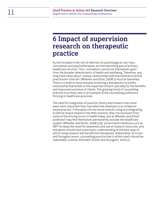## <span id="page-10-0"></span>**6 Impact of supervision research on therapeutic practice**

As the increase in the raft of referrals for psychological care rises, counsellors and psychotherapists are fast becoming part of primary healthcare services. Thus, counsellors cannot set themselves apart from the broader determinants of health and wellbeing. Therefore, any long-held views about 'uneasy relationships with the medical/scientist practitioner-clinician' (Wheeler and Elliot, 2008:1) must be banished. There is a need to move towards brokering a therapeutic/scientific relationship that builds on the expertise of each specialty for the benefits and improved outcomes of clients. The growing trend of counselling practice in primary care is an example of the counselling profession thriving in healthcare provision.

The need for integration of practice, theory and research has never been more important than now when the emphasis is on evidencebased practice. If therapists do not move towards using and integrating evidence-based research into their practice, they risk exclusion from some of the driving forces in health today, and as Wheeler and Elliott predicted 'may find themselves permanently outside the healthcare system' (Wheeler and Elliott, 2008:133). Government initiatives such as IAPT increase the need for awareness and use of research resources, and therapists should have some basic understanding of the best ways in which using research will benefit the therapeutic relationship. As Green and Youngson assert, counselling practice that is within reach should be reasonably 'science-informed' (Green and Youngson, 2005:2).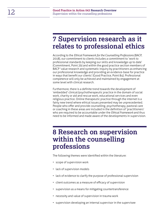## <span id="page-11-0"></span>**7 Supervision research as it relates to professional ethics**

According to the *Ethical Framework for the Counselling Professions* (BACP, 2018), our commitment to clients includes a commitment to 'work to professional standards by keeping our skills and knowledge up to date' (Commitment, Point 2b) and within the good practice section members of BACP 'value research and systematic inquiry by practitioners as enhancing our professional knowledge and providing an evidence-base for practice in ways that benefit our clients' (Good Practice, Point 84). Professional competence will only be achieved and maintained by engagement at some level with clinical research.

Furthermore, there is a definite trend towards the development of 'embedded' clinical/psychotherapeutic practice in the domain of social work, charity or aid and rescue work, educational services and even religious practice. Online therapeutic practice through the internet is a fairly new trend where ethical issues presented may be unprecedented. People who offer and provide counselling, psychotherapy, pastoral care or coaching in these areas are included in the definition of 'practitioners' who are required to be accountable under the *Ethical Framework* and thus need to be informed and made aware of the developments in supervision.

## <span id="page-11-1"></span>**8 Research on supervision within the counselling professions**

The following themes were identified within the literature:

- scope of supervision work
- lack of supervision models
- lack of evidence to clarify the purpose of professional supervision
- client outcomes as a measure of efficacy of supervision
- supervision as a means for mitigating countertransference
- necessity and value of supervision in trauma work
- supervision developing an internal supervisor in the supervisee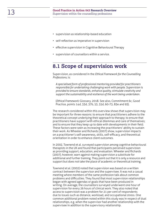- supervision as relationship-based education
- self-reflection as imperative in supervision
- effective supervision in Cognitive Behavioural Therapy
- supervision of counsellors within a service.

#### <span id="page-12-0"></span>**8.1 Scope of supervision work**

Supervision, as considered in the *Ethical Framework for the Counselling Professions*, is:

*A specialised form of professional mentoring provided for practitioners responsible for undertaking challenging work with people. Supervision is provided to ensure standards, enhance quality, stimulate creativity and support the sustainability and resilience of the work being undertaken.*

(*Ethical Framework:* Glossary, 2018. See also, Commitment 6c, Good Practice, points 14d, 33d, 37b, 53, 55d, 60-73, 83e and 93).

The research considered within this overview shows that supervision may be important for three reasons: to ensure that practitioners adhere to the theoretical concept underlying their approach to therapy; to ensure that practitioners have support with ethical dilemmas and care of themselves; and to ensure that they keep up to date with developments in their field. These factors were seen as increasing the practitioners' ability to sustain their work. As Wheeler and Richards (2007) show, supervision impacts on a practitioner's self-awareness, skills, self-efficacy, and theoretical orientation in order to enhance client outcomes.

In 2002, Townend et al. surveyed supervision among cognitive behavioural therapists in the UK and found that participants perceived supervision as providing support, education, and evaluation. Wheeler and Richards (2007), however, warn against making supervision a substitute for additional and further training. They point out that it is only a resource and support but does not take the place of academic or theoretical training.

Townend et al. (2002) noted that supervision was based on a written contract between the supervisor and the supervisee. It was not a casual meeting where members of the same profession talk about common problems and difficulties. They found that most supervision relationships began with agreed agendas or goals that have been produced in writing. On average, the counsellors surveyed underwent one hour of supervision for every 26 hours of clinical work. They also noted that access to supervision was a problem for 21 per cent of respondents due to issues such as distance, workload, and occupational stress. One common additional problem noted within this study was in respect of dual relationships, e.g. when the supervisor had another relationship with the supervisee in addition to the supervisory relationship.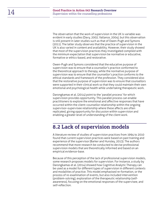The observation that the work of supervision in the UK is variable was evident in early studies (Davy, 2002; Vallance, 2004), but this observation is still present in later studies such as that of Owen-Pugh and Symons (2011). The latter study observes that the practice of supervision in the UK is also varied in content and availability. However, their study showed that most of the supervision practices they investigated complied with the minimum expectation that supervision be normative or educative, formative or ethics-based, and restorative.

Owen-Pugh and Symons considered that the educative purpose of supervision was to ensure that a counsellor's practice conformed to the theoretical approach to therapy, while the normative purpose of supervision was to ensure that the counsellor's practice conforms to the ethical standards and framework of the profession. They considered also that the restorative purpose of supervision was to ensure that counsellors were supported in their clinical work so that they could maintain their own emotional and psychological health while undertaking therapeutic work.

Darongkamas et al. (2014) point to the 'parallel process' for which supervision provides opportunity. This parallel process can enable practitioners to explore the emotional and affective responses that have occurred within the client–counsellor relationship within the ongoing supervisor–supervisee relationship where these affects are often replicated, giving opportunity for discussion within supervision and enabling a greater level of understanding of the client work.

### <span id="page-13-0"></span>**8.2 Lack of supervision models**

A literature review of studies of supervision practices from 1994 to 2010 found that current supervision practices were based on past training and experience of the supervisor (Barker and Hunsley, 2013). The authors recommend that more research be conducted to devise professional supervision models that are theoretically informed and based on an empirical evidence-base.

Because of this perception of the lack of professional supervision models, some research proposes models for supervision. For instance, a study by Darongkamas et al. (2014) showed how Cognitive Analytic Therapy can be used as a model for different types of supervision in different contexts and modalities of practice. This model emphasised re-formation, or the process of re-examination of events, but also included intervention (problem-solving), exploration of the therapeutic relationship (selfawareness), focusing on the emotional responses of the supervisee, and self-reflection.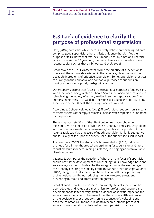### <span id="page-14-0"></span>**8.3 Lack of evidence to clarify the purpose of professional supervision**

Davy (2002) notes that while there is a lively debate on which ingredients comprise good supervision, there is little evidence that clarifies the purpose of it. He notes that this lack is made up for by emotional rhetoric. While this review is 15 years old, the same observation is made in more recent studies such as that by Schoenwald et al.(2013).

Schoenwald et al. (2013) assert that while the practice of supervision is prevalent, there is a wide variation in the rationale, objectives and the desirable ingredients of effective supervision. Some supervision practices focus only on the educative and normative purposes of supervision, making supervision a purely pedagogic exercise.

Other supervision practices focus on the restorative purposes of supervision, with supervisees being treated as clients. Some supervision practices include role-playing, modelling, reflection, feedback, and conceptualisations. The author laments the lack of validated measures to evaluate the efficacy of any supervision model. At best, the existing evidence is mixed.

According to Schoenwald et al. (2013), if professional supervision is meant to affect aspects of therapy, it remains unclear which aspects are impacted by the process.

There is a poor definition of the client outcomes that ought to be measured, with no mention of what these client outcomes are. Only 'client satisfaction' was mentioned as a measure, but this study points out that 'client satisfaction' as a measure of good supervision is highly subjective and is usually based upon the supervisor or the supervisee's self-report.

Just like Davy (2002), the study by Schoenwald et al. (2013) indicates the need for a firmer theoretical underpinning for supervision and more robust measures for determining its efficacy in bringing about favourable client outcomes.

Vallance (2004) poses the question of what the main focus of supervision should be: is it the development of counselling skills, knowledge-base and awareness, or should it instead be the safeguarding of the wellbeing of the client by ensuring the quality of the therapeutic relationship? Vallance (2004) recognises that supervision benefits counsellors by promoting their emotional wellbeing, reducing their work-related stress, and preventing burnout and professional stagnation.

Schofield and Grant (2013) observe how widely clinical supervision has been adopted and valued as a mechanism for professional support and development despite the very limited evidence of specific impact on the supervisee or their client. They assert that there is very little evidence on the positive impact of supervision to a counsellor's wellbeing and echo the common call for more in-depth research into the process of supervision and what constitutes effective supervision practice.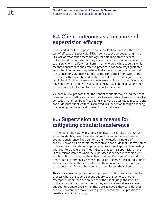#### <span id="page-15-0"></span>**8.4 Client outcome as a measure of supervision efficacy**

Reiser and Milne (2014) pose the question: Is client outcome the acid test of efficacy of supervision? They don't believe so, suggesting there is a lack of established methodology for obtaining proof of client outcomes. More importantly, they argue that supervision is meant only to ensure clients' safety from harm. In other words, while supervision is meant to ensure safe and effective practice, it cannot always guarantee good client outcomes. They believe that supervision only ensures that the counsellor's practice is faithful to the conceptual framework of the therapeutic theory embraced by the counsellor, and that beyond this it would be difficult to measure or speculate what impact supervision may have on client outcomes. Reiser and Milne (2014) join the plea for a more explicit conceptualisation for professional supervision.

Vallance (2004) proposes that the benefit to clients may be indirect; that is, supervision itself does not translate to measurable client outcomes. He concedes that direct benefit to clients may not be possible to measure and concludes that client welfare is achieved in supervision through enabling the development of ethical counselling practitioners.

### <span id="page-15-1"></span>**8.5 Supervision as a means for mitigating countertransference**

In their qualitative study of supervision dyads, Zaslavsky et al. (2005) aimed to identify, describe and examine how supervision addresses countertransference. They demonstrate the relational nature of supervision and its empathic interaction and conclude that it is this nature of the supervisory relationship that enables a direct approach to dealing with countertransference. They indicate that during supervision, there is countertransference when the supervisee identifies with their client, exhibits blind spots about their client, and manifests emotional and behavioural disturbances. When supervisors observe these blind spots in supervisees, the authors consider, that this can initiate an exploration of the countertransference between the therapist and their client.

This study considers professional supervision to be a cognitive-affective process where the supervisor and supervisee listen to each other, attempt to understand the anxieties of the client, judge the intensity of the responses, recognise boundaries, and increase self-awareness of any countertransference. When these are achieved, they consider that supervision can then move toward greater autonomous expressions of creative capacity in coping.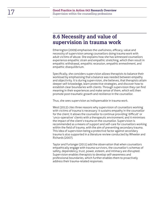### <span id="page-16-0"></span>**8.6 Necessity and value of supervision in trauma work**

Etherington (2009) emphasises the usefulness, efficacy, value and necessity of supervision among counsellors doing trauma work with adult victims of abuse. She explains how she has witnessed counsellors experience empathic strain and empathic stretching, which then result in empathic withdrawal, empathic recession, empathic enmeshment, and empathic disequilibrium.

Specifically, she considers supervision allows therapists to balance their workload by emphasising that a balance was needed between empathy and objectivity. It is during supervision, she believes, that therapists attain deeper self-knowledge, learn protective strategies, and discover how to establish clear boundaries with clients. Through supervision they can find meaning in their experiences and make sense of them, which will then promote post-traumatic growth and resilience in the counsellor.

Thus, she sees supervision as indispensable in trauma work.

West (2012) cites three reasons why supervision of counsellors working with victims of trauma is necessary: it sustains empathy in the counsellor for the client; it allows the counsellor to continue providing 'difficult' or 'unco-operative' clients with a therapeutic environment; and it minimises the impact of the client's trauma on the counsellor. Supervision is recommended as a means of support and self-care for counsellors working within the field of trauma, with the aim of preventing secondary trauma. This idea of supervision being a protective factor against secondary trauma is also supported in a literature review conducted by Wheeler and Richards (2007).

Taylor and Furlonger (2011) add the observation that when counsellors empathically engage with trauma survivors, the counsellor's schemas of safety, dependency, trust, power, esteem, and intimacy are disrupted. Supervision enables therapists to develop self-awareness and professional boundaries, which further enables them to proactively address their trauma-related responses.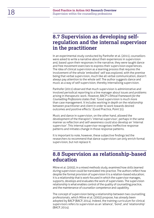### <span id="page-17-0"></span>**8.7 Supervision as developing selfregulation and the internal supervisor in the practitioner**

In an experimental study conducted by Panhofer et al. (2011), counsellors were asked to write a narrative about their experiences in supervision and, based upon their responses in the narrative, they were taught dance and free movement exercises to express their supervision experiences. The idea of clinical supervision as a learning process that requires the involvement of the whole 'embodied' self was explored, with the premise being that verbal supervision, much like all verbal communication, doesn't always pay attention to the whole self. The author suggests dance and music as a way of self-supervision, thereby internalising supervision.

Panhofer (2011) observed that much supervision is administrative and involved periodical reporting to a line manager about issues and problems arising in therapeutic work. However, BACP's *Ethical Framework for the Counselling Professions* states that: 'Good supervision is much more than case management. It includes working in depth on the relationship between practitioner and client in order to work towards desired outcomes and positive effects.' (Good Practice, Point 51).

Music and dance in supervision, on the other hand, allowed the development of the therapist's 'internal supervisor', perhaps in the same manner as reflection and self-awareness could also develop an 'internal supervisor'. This internal supervisor recognises ineffective response patterns and initiates change in those response patterns.

It is important to note, however, these subjective findings led the researchers to recommend that dance supervision can only enrich formal supervision, but not replace it.

### <span id="page-17-1"></span>**8.8 Supervision as relationship-based education**

Milne et al. (2002), in a mixed methods study, examined how skills learned during supervision could be translated into practice. The authors reflect how despite the formal provision of supervision it is a relation-based education; it is a relationship that is work-focused in which the supervisor manages, supports, develops and evaluates the work of supervisees. The supervision relationship is what enables control of the quality of counselling practice, and the maintenance of counsellor competence and capability.

The concept of supervision being a relationship between two counselling professionals, which Milne et al. (2002) propose, has already been adopted by BACP (BACP, 2014). Indeed, the training curriculum for clinical supervisors refers to supervision as an 'alliance', 'bond', and 'relationship' (BACP, 2014).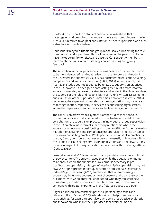Borders (2012) reported a study of supervision in Australia that investigated and described how supervision is structured. Supervision in Australia is referred to as 'peer consultation' or 'peer supervision' and such a structure is often leaderless.

Counsellors in dyadic, triadic and group models take turns acting the role of supervisor and supervisee. Thus, all members of the peer consultation have the opportunity to reflect and observe. Consequently, members learn and hone skills in both listening, conceptualising and giving feedback.

The Australian model of peer supervision as described by Borders seems to be more democratic and egalitarian than the structure and model in the UK, where the supervisor usually has documented education, training, competence and skills in supervision (BACP, 2014). At first glance, this Australian study does not appear to be related to supervision practices in the UK, however, it does give a contrasting picture of a more informal supervision model, whereas the structure and model in the UK often gives the supervisor the role and responsibility of making written assessments and evaluation of the supervisee. Sometimes, however, as Gentry (2015) comments, the supervision provided by the organisation may include a reporting function, especially in services or counselling organisations where the supervisor is sometimes also the line manager of the service.

The conclusion drawn from a synthesis of the studies mentioned in this section indicate that, compared with the Australian model of peer consultation, the supervision practices in individual or group supervision in the UK create a more formal supervisory relationship where the supervisor is not on an equal footing with the practitioner/supervisee who has additional training and competence in supervision practice on top of their own counselling practice. While peer supervision is also practised in the UK, Gentry considers that peer supervision usually only occurs within the context of counselling services or organisations and peer evaluations usually in respect of pre-qualification supervision within training settings. (Gentry, 2015).

Darongkamas et al. (2014) observed that supervision work has a political or power context. The study showed that while the educative or mentor relationship where the supervisee is a learner is necessary in prequalification supervision, this type of relationship in supervision may not always be appropriate for post-qualification professional supervision. Indeed Bager-Charleson (2015) emphasises that when choosing a supervisor, the trainee counsellor must choose one who can answer their questions, with whom they feel understood, who they can learn new things from, and who inspires and facilitates learning; in other words, someone with greater experience in the field, as opposed to a peer.

Bager-Charleson also considers potential personality clashes and cites Carroll and Gilbert (2005) who describe unhelpful supervisory relationships, for example supervisors who constrict creative exploration and innovation, who make the supervisee feel overwhelmed or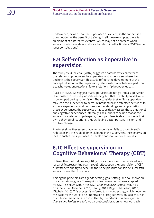undermined, or who treat the supervisee as a client, so the supervisee does not derive the benefit of training. In all these examples, there is an element of paternalistic control which may not be present when supervision is more democratic as that described by Borders (2012) under 'peer consultations'.

### <span id="page-19-0"></span>**8.9 Self-reflection as imperative in supervision**

The study by Milne et al. (2002) suggests a paternalistic character of the relationship between the supervisor and supervisee, where the linchpin is the supervisor. This study reflects the development of the conceptualisation of the supervisory relationship, which developed from a teacher–student relationship to a relationship between equals.

Prasko et al. (2012) suggest that supervisees do not go into a supervision relationship to passively absorb learning, but that the ability to self-reflect is developed during supervision. They consider that while a supervisor may lead the supervisee to perform intellectual and affective activities to explore experiences and reach new understandings and appreciation of those experiences, the supervisee has to critically assess those emotional and cognitive experiences internally. The authors conclude that as the supervisory relationship deepens, the supervisee is able to observe their own behavioural reactions, thus achieving better personal insight and positive change.

Prasko et al. further assert that when supervision fails to promote selfreflection and the habit of inner dialogue in the supervisee, the supervision fails to enable the supervisee to develop and mature professionally.

### <span id="page-19-1"></span>**8.10 Effective supervision in Cognitive Behavioural Therapy (CBT)**

Unlike other methodologies, CBT (and its supervision) has received much research interest. Milne et al. (2002) reflect upon the supervision of CBT practitioners and try to describe the principles that constitute successful supervision within this context.

Among the principles are agenda setting, goal setting, and collaboration toward attaining goals. These principles have already been adapted by BACP as shown within the BACP *Good Practice in Action* resources on supervision (Bamber, 2015; Gentry, 2015; Bager-Charleson; 2015, Mitchels; 2016). This process is referred to as 'contracting', which becomes the basis for the work to be undertaken during supervision. Just as BACP practitioner members are committed by the *Ethical Framework for the Counselling Professions* to 'give careful consideration to how we reach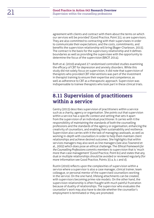agreement with clients and contract with them about the terms on which our services will be provided' (Good Practice, Point 31), so are supervisors. They are also committed to contracting with their supervisees in order to communicate their expectations, and the costs, commitments, and benefits the supervision relationship will bring (Bager-Charleson, 2015). The contract is the basis for the supervisory relationship and it defines boundaries as well as providing the supervisee with the opportunity to determine the focus of the supervision (BACP, 2014).

Roth et al. (2010) analysed 27 randomised controlled studies examining the efficacy of CBT for depression and anxiety disorders. While this study did not solely focus on supervision, it did note that supervision of therapists who provided CBT interventions was part of the investment in therapist training to ensure their expertise and competence, as well as adherence to CBT as a therapeutic approach. Supervision was indispensable to trainee therapists who took part in these clinical trials.

### <span id="page-20-0"></span>**8.11 Supervision of practitioners within a service**

Gentry (2015) describes supervision of practitioners within a service such as a charity, agency or organisation. She points out that supervision within a service has a specific context and setting that sets it apart from the supervision of an individual practitioner. It carries with it the responsibility of maintaining the standards of both the counselling professions and the standards of the agency or organisation, enhancing the creativity of counsellors, and enabling their sustainability and resilience. Supervision also carries with it the task of managing caseloads, as well as working in-depth with counsellors in order to help them maintain client relationships and achieve desired outcomes. She highlights that within services managers may also work as line managers (see also Townend et al., 2002) which does pose an ethical challenge. The *Ethical Framework for the Counselling Professions* commits members to supervision that is 'much more than case management' (Good Practice, Point 61) and states that any dual or multiple relationships should be avoided or reviewed regularly (for more information see Good Practice, Points 33 a, b, c and d).

Rustin (2010) reflects upon the complexities of supervision within a service where a supervisor is also a case manager, clinical trainer, team colleague, or personal mentor of the supervised counsellors working in the service. On the one hand, lifelong attachments can be created, with supervisors becoming prime role models. On the other hand, the supervision relationship is often fraught with much painful frustration because of duality of relationships. The supervisor who evaluates the counsellor's work may also have to decide whether the counsellor's employment is terminated or they are promoted.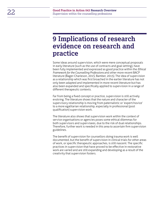## <span id="page-21-0"></span>**9 Implications of research evidence on research and practice**

Some ideas around supervision, which were mere conceptual proposals in early literature (such as the use of contracts and goal setting), have been fully implemented and expressed as good practice within the *Ethical Framework for the Counselling Professions* and other more recent BACP literature (Bager-Charleson, 2015; Bamber, 2015). The idea of supervision as a relationship which was first broached in the earlier literature has not only been adapted and implemented in more recent literature but has also been expanded and specifically applied to supervision in a range of different therapeutic contexts.

Far from being a fixed concept or practice, supervision is still actively evolving. The literature shows that the nature and character of the supervisory relationship is moving from paternalistic or 'expert/novice' to a more egalitarian relationship, especially in professional (post qualification) supervision work.

The literature also shows that supervision work within the context of service organisations or agencies poses some ethical dilemmas for both supervisors and supervisees, due to the risk of dual relationships. Therefore, further work is needed in this area to ascertain firm supervision guidelines.

The benefit of supervision for counsellors doing trauma work is well documented, but the benefit of supervision in clinical trials for other areas of work, or specific therapeutic approaches, is still nascent. The specific practices in supervision that have proved to be effective in restorative work are varied and are still expanding and developing as a result of the creativity that supervision fosters.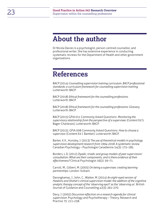## <span id="page-22-0"></span>**About the author**

Dr Nicola Davies is a psychologist, person-centred counsellor, and professional writer. She has extensive experience in conducting systematic reviews for the Department of Health and other government organisations.

## <span id="page-22-1"></span>**References**

BACP (2014) *Counselling supervision training curriculum. BACP professional standards: a curriculum framework for counselling supervision training.* Lutterworth: BACP.

BACP (2018) *Ethical framework for the counselling professions*. Lutterworth: BACP.

BACP (2018) *Ethical framework for the counselling professions: Glossary.* Lutterworth: BACP.

BACP (2015) GPiA 011 Commonly Asked Questions: *Monitoring the supervisory relationship from the perspective of a supervisee*. (Content Ed S. Bager-Charleson). Lutterworth: BACP.

BACP (2015). GPiA 008 Commonly Asked Questions: *How to choose a supervisor*. (Content Ed J. Bamber). Lutterworth: BACP.

Barker, K.K., Hunsley, J. (2013) *The use of theoretical models in psychology supervision development research from 1994-2018: A systematic review*. Canadian Psychology – Psychologie Canadienne 54(3): 175–185.

Borders, L.D. (2012) *Dyadic, triadic and group models of peer supervision/ consultation: What are their components, and is there evidence of their effectiveness?* Clinical Psychologist 16(2): 59–71.

Carroll, M., Gilbert, M. (2005) *On being a supervisee: creating learning partnerships*. London: Vulkani.

Darongkamas, J., John, C., Walker, M. (2014) *An eight-eyed version of Hawkins and Shohet's clinical supervision model: the addition of the cognitive analytic therapy concept of the 'observing eye/I' as the 'observing us*'. British Journal of Guidance and Counselling 42(3): 261–270.

Davy, J. (2002) *Discursive reflection on a research agenda for clinical supervision*. Psychology and Psychotherapy – Theory, Research and Practice 75: 211–238.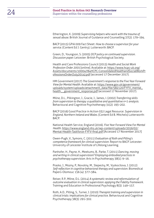Etherington, K. (2009) *Supervising helpers who work with the trauma of sexual abuse*. British Journal of Guidance and Counselling 37(2): 179–194.

BACP (2015) GPiA 009 Fact Sheet: *How to choose a supervisor for your service*. (Content Ed J. Gentry). Lutterworth: BACP.

Green, D., Youngson, S. (2005) *DCP policy on continued supervision. Discussion paper*. Leicester: British Psychological Society.

Health and Care Professions Council (2015) *Health and Social Work Profession Order 2001* [online]. Available at: [https://www.hcpc-uk.org/](https://www.hcpc-uk.org/Assets/documents/10004784HCPC-ConsolidatedHealthandSocialWorkProfessionsOrder(July2014).pdf) [Assets/documents/10004784HCPC-ConsolidatedHealthandSocialWorkPr](https://www.hcpc-uk.org/Assets/documents/10004784HCPC-ConsolidatedHealthandSocialWorkProfessionsOrder(July2014).pdf) [ofessionsOrder\(July2014\).pdf](https://www.hcpc-uk.org/Assets/documents/10004784HCPC-ConsolidatedHealthandSocialWorkProfessionsOrder(July2014).pdf) (accessed 17 December 2017).

HM Government (2017) *The Government's response to the Five Year Forward View for Mental Health*. Available at: [https://www.gov.uk/government/](https://www.gov.uk/government/uploads/system/uploads/attachment_data/file/582120/FYFV_mental_health__government_response.pdf) [uploads/system/uploads/attachment\\_data/file/582120/FYFV\\_mental\\_](https://www.gov.uk/government/uploads/system/uploads/attachment_data/file/582120/FYFV_mental_health__government_response.pdf) [health\\_\\_government\\_response.pdf](https://www.gov.uk/government/uploads/system/uploads/attachment_data/file/582120/FYFV_mental_health__government_response.pdf) (accessed 17 November 2017).

Milne, D.L., Pilkington, J., Gracie, J., James, I. (2002) *Transferring skills from supervision to therapy: a qualitative and quantitative n=1 analysis*. Behavioural and Cognitive Psychotherapy 31(2): 193–202.

BACP (2016) Good Practice in Action 032 Legal Resource: *Supervision in England, Northern Ireland and Wales*. (Content Ed B. Mitchels) Lutterworth: BACP.

National Health Service, England (2016). *Five Year Forward View For Mental Health*. [https://www.england.nhs.uk/wp-content/uploads/2016/02/](https://www.england.nhs.uk/wp-content/uploads/2016/02/Mental-Health-Taskforce-FYFV-final.pdf) [Mental-Health-Taskforce-FYFV-final.pdf](https://www.england.nhs.uk/wp-content/uploads/2016/02/Mental-Health-Taskforce-FYFV-final.pdf) [Accessed 17 November 2017]

Owen-Pugh, V., Symons, C. (2011) *Evaluation of Roth and Pilling's competence framework for clinical supervision*. Report to BACP. Leicester: University of Leicester Institute of Lifelong Learning.

Panhofer, H., Payne, H., Meekums, B., Parke, T. (2011) *Dancing, moving and writing in clinical supervision? Employing embodied practices in psychotherapy supervision*. Arts in Psychotherapy 38(1): 9–16.

Prasko, J., Mozny, P., Novotny, M., Slepecky, M., Vyskocilova, J. (2012) *Self-reflection in cognitive behavioral therapy and supervision*. Biomedical Papers-Olomouc 156 (4): 377–384.

Reiser, R.P., Milne, D.L. (2014) *A systematic review and reformulation of outcome evaluation in clinical supervision: applying the Fidelity Framework*. Training and Education in Professional Psychology 8(3): 149–157.

Roth, A.D., Pilling, S., Turner, J. (2010) *Therapist training and supervision in clinical trials: implications for clinical practic*e. Behavioural and Cognitive Psychotherapy 38(3): 291–302.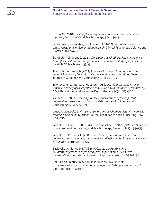Rustin, M. (2010) *The complexities of service supervision: an experiential discovery.* Journal of Child Psychotherapy 36(1): 3–15.

Schoenwald, S.K., Mehta, T.G., Frazier, S.L. (2013) *Clinical supervision in effectiveness and implementation research*. Clinical Psychology-Science and Practice 20(1): 44–59.

Schofield, M.J., Grant, J. (2013) *Developing psychotherapists' competence through clinical supervision: protocol for a qualitative study of supervisory dyads*. BMC Psychiatry, 13(12).

Taylor, W., Furlonger, B. (2011) *A review of vicarious traumatisation and supervision among Australian telephone and online counsellors*. Australian Journal of Guidance and Counselling 21(2): 225–235.

Townend, M., Lannetta, L., Freeston, M.H. (2002) *Clinical supervision in practice: a survey of UK cognitive behavioural psychotherapists accredited by BACP*. Behavioural and Cognitive Psychotherapy 30(4): 485–500.

Vallance, K. (2004) E*xploring counsellor perceptions of the impact of counselling supervision on clients*. British Journal of Guidance and Counselling 32(4): 559–574.

West, A. (2012) *Supervising counsellors and psychotherapists who work with trauma: A Delphi Study.* British Journal of Guidance and Counselling 38(4): 409–430.

Wheeler, S., Elliot, R. (2008) *What do counsellors and therapists need to know about research?* Counselling and Psychotherapy Research 8(2): 133–135.

Wheeler, S., Richards, K. (2007) *The impact of clinical supervision on counsellors and therapists, their practice and their clients: A systematic review of literature.* Lutterworth, BACP.

Zaslavsky, A., Nunes, M.L.T., Eizirik, C.L. (2005) *Approaching countertransference in psychoanalytical supervision: A qualitative investigation*. International Journal of Psychoanalysis 86: 1099–1131.

BACP Good Practice in Action Resources are available at: [https://www.bacp.co.uk/events-and-resources/ethics-and-standards/](https://www.bacp.co.uk/events-and-resources/ethics-and-standards/good-practice-in-action) [good-practice-in-action](https://www.bacp.co.uk/events-and-resources/ethics-and-standards/good-practice-in-action)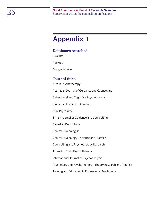## <span id="page-25-0"></span>**Appendix 1**

#### **Databases searched**

PsycInfo

PubMed

Google Scholar

#### **Journal titles**

Arts in Psychotherapy

Australian Journal of Guidance and Counselling

Behavioural and Cognitive Psychotherapy

Biomedical Papers – Olomouc

BMC Psychiatry

British Journal of Guidance and Counselling

Canadian Psychology

Clinical Psychologist

Clinical Psychology – Science and Practice

Counselling and Psychotherapy Research

Journal of Child Psychotherapy

International Journal of Psychoanalysis

Psychology and Psychotherapy – Theory Research and Practice

Training and Education in Professional Psychology